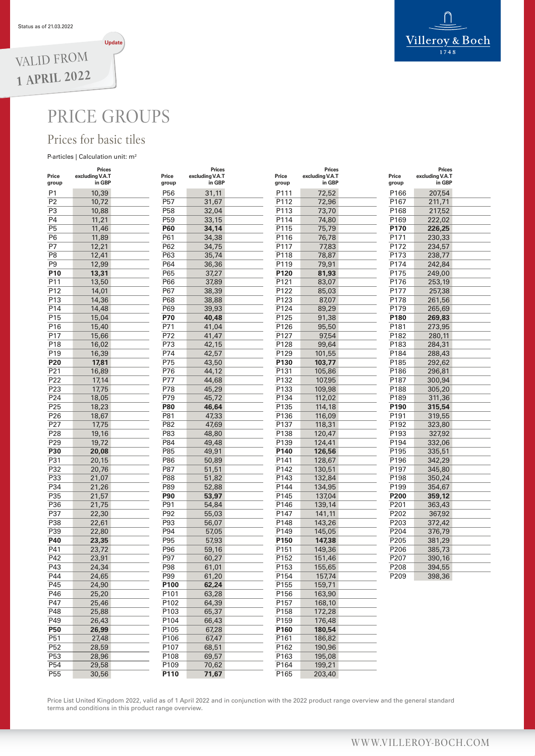

## PRICE GROUPS

## Prices for basic tiles

#### P-articles | Calculation unit: m<sup>2</sup>

| Price<br>group  | <b>Prices</b><br>excluding V.A.T<br>in GBP | Price<br>group  | <b>Prices</b><br>excluding V.A.T<br>in GBP | Price<br>group | Prices<br>excluding V.A.T<br>in GBP | Price<br>group | <b>Prices</b><br>excluding V.A.T<br>in GBP |  |
|-----------------|--------------------------------------------|-----------------|--------------------------------------------|----------------|-------------------------------------|----------------|--------------------------------------------|--|
| P1              | 10,39                                      | P56             | 31,11                                      | P111           | 72,52                               | P166           | 207,54                                     |  |
| P <sub>2</sub>  | 10,72                                      | P57             | 31,67                                      | P112           | 72,96                               | P167           | 211,71                                     |  |
| P3              | 10,88                                      | P <sub>58</sub> | 32,04                                      | P113           | 73,70                               | P168           | 217,52                                     |  |
| P <sub>4</sub>  | 11,21                                      | P <sub>59</sub> | 33,15                                      | P114           | 74,80                               | P169           | 222,02                                     |  |
| P <sub>5</sub>  | 11,46                                      | <b>P60</b>      | 34,14                                      | P115           | 75,79                               | P170           | 226,25                                     |  |
| P6              | 11,89                                      | P61             | 34,38                                      | P116           | 76,78                               | P171           | 230,33                                     |  |
| P7              | 12,21                                      | P62             | 34,75                                      | P117           | 77,83                               | P172           | 234,57                                     |  |
| P <sub>8</sub>  | 12,41                                      | P63             | 35,74                                      | P118           | 78,87                               | P173           | 238,77                                     |  |
| P <sub>9</sub>  | 12,99                                      | P64             | 36,36                                      | P119           | 79,91                               | P174           | 242,84                                     |  |
| P <sub>10</sub> | 13,31                                      | P65             | 37,27                                      | P120           | 81,93                               | P175           | 249,00                                     |  |
| P11             | 13,50                                      | P66             | 37,89                                      | P121           | 83,07                               | P176           | 253,19                                     |  |
| P12             | 14,01                                      | P67             | 38,39                                      | P122           | 85,03                               | P177           | 257,38                                     |  |
| P13             | 14,36                                      | P68             | 38,88                                      | P123           | 87,07                               | P178           | 261,56                                     |  |
| P14             | 14,48                                      | P69             | 39,93                                      | P124           | 89,29                               | P179           | 265,69                                     |  |
| P <sub>15</sub> | 15,04                                      | P70             | 40,48                                      | P125           | 91,38                               | P180           | 269,83                                     |  |
| P16             | 15,40                                      | P71             | 41,04                                      | P126           | 95,50                               | P181           | 273,95                                     |  |
| P17             | 15,66                                      | P72             | 41,47                                      | P127           | 97,54                               | P182           | 280,11                                     |  |
| P18             | 16,02                                      | P73             | 42,15                                      | P128           | 99,64                               | P183           | 284,31                                     |  |
| P <sub>19</sub> | 16,39                                      | P74             | 42,57                                      | P129           | 101,55                              | P184           | 288,43                                     |  |
| P <sub>20</sub> | 17,81                                      | P75             | 43,50                                      | P130           | 103,77                              | P185           | 292,62                                     |  |
| P21             | 16,89                                      | P76             | 44,12                                      | P131           | 105,86                              | P186           | 296,81                                     |  |
| P22             | 17,14                                      | P77             | 44,68                                      | P132           | 107,95                              | P187           | 300,94                                     |  |
| P23             | 17,75                                      | P78             | 45,29                                      | P133           | 109,98                              | P188           | 305,20                                     |  |
| P24             | 18,05                                      | P79             | 45,72                                      | P134           | 112,02                              | P189           | 311,36                                     |  |
| P25             | 18,23                                      | <b>P80</b>      | 46,64                                      | P135           | 114,18                              | P190           | 315,54                                     |  |
| P26             | 18,67                                      | P81             | 47,33                                      | P136           | 116,09                              | P191           | 319,55                                     |  |
| P27             | 17,75                                      | P82             | 47,69                                      | P137           | 118,31                              | P192           | 323,80                                     |  |
| P28             | 19,16                                      | P83             | 48,80                                      | P138           | 120,47                              | P193           | 327,92                                     |  |
| P29             | 19,72                                      | P84             | 49,48                                      | P139           | 124,41                              | P194           | 332,06                                     |  |
| P30             | 20,08                                      | P85             | 49,91                                      | P140           | 126,56                              | P195           | 335,51                                     |  |
| P31             | 20,15                                      | P86             | 50,89                                      | P141           | 128,67                              | P196           | 342,29                                     |  |
| P32             | 20,76                                      | P87             | 51,51                                      | P142           | 130,51                              | P197           | 345,80                                     |  |
| P33             | 21,07                                      | P88             | 51,82                                      | P143           | 132,84                              | P198           | 350,24                                     |  |
| P34             | 21,26                                      | P89             | 52,88                                      | P144           | 134,95                              | P199           | 354,67                                     |  |
| P35             | 21,57                                      | <b>P90</b>      | 53,97                                      | P145           | 137,04                              | P200           | 359,12                                     |  |
| P36             | 21,75                                      | P91             | 54,84                                      | P146           | 139,14                              | P201           | 363,43                                     |  |
| P37             | 22,30                                      | P92             | 55,03                                      | P147           | 141,11                              | P202           | 367,92                                     |  |
| P38             | 22,61                                      | P93             | 56,07                                      | P148           | 143,26                              | P203           | 372,42                                     |  |
| P39             | 22,80                                      | P94             | 57,05                                      | P149           | 145,05                              | P204           | 376,79                                     |  |
| P40             | 23,35                                      | P95             | 57,93                                      | P150           | 147,38                              | P205           | 381,29                                     |  |
| P41             | 23,72                                      | P96             | 59,16                                      | P151           | 149,36                              | P206           | 385,73                                     |  |
| P42             | 23,91                                      | P97             | 60,27                                      | P152           | 151,46                              | P207           | 390,16                                     |  |
| P43             | 24,34                                      | P98             | 61,01                                      | P153           | 155,65                              | P208           | 394,55                                     |  |
| P44             | 24,65                                      | P99             | 61,20                                      | P154           | 157,74                              | P209           | 398,36                                     |  |
| P45             | 24,90                                      | P100            | 62,24                                      | P155           | 159,71                              |                |                                            |  |
| P46             | 25,20                                      | P101            | 63,28                                      | P156           | 163,90                              |                |                                            |  |
| P47             | 25,46                                      | P102            | 64,39                                      | P157           | 168,10                              |                |                                            |  |
| P48             | 25,88                                      | P103            | 65,37                                      | P158           | 172,28                              |                |                                            |  |
| P49             | 26,43                                      | P104            | 66,43                                      | P159           | 176,48                              |                |                                            |  |
| <b>P50</b>      | 26,99                                      | P105            | 67,28                                      | P160           | 180,54                              |                |                                            |  |
| P51             | 27,48                                      | P106            | 67,47                                      | P161           | 186,82                              |                |                                            |  |
| P <sub>52</sub> | 28,59                                      | P107            | 68,51                                      | P162           | 190,96                              |                |                                            |  |
| P <sub>53</sub> | 28,96                                      | P108            | 69,57                                      | P163           | 195,08                              |                |                                            |  |
| P <sub>54</sub> | 29,58                                      | P109            | 70,62                                      | P164           | 199,21                              |                |                                            |  |
| P <sub>55</sub> | 30,56                                      | P110            | 71,67                                      | P165           | 203,40                              |                |                                            |  |

Price List United Kingdom 2022, valid as of 1 April 2022 and in conjunction with the 2022 product range overview and the general standard terms and conditions in this product range overview.